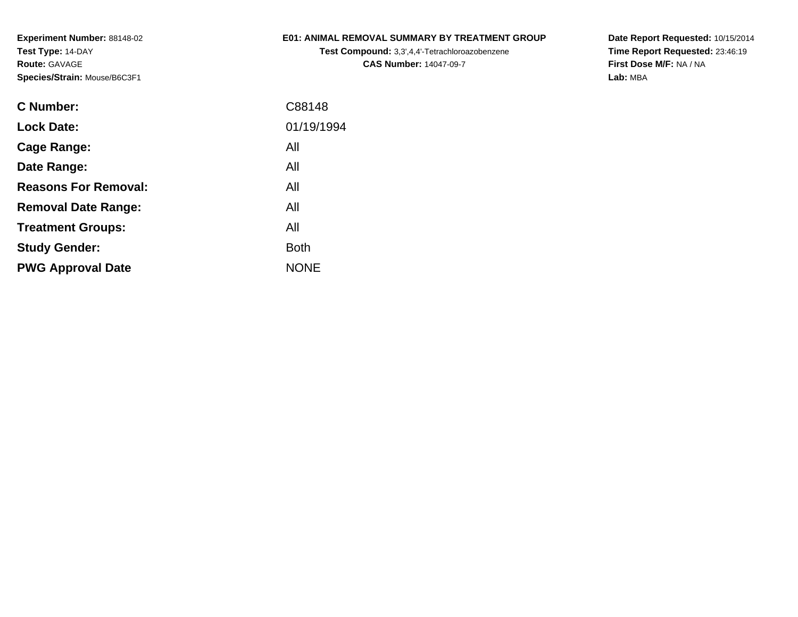#### **E01: ANIMAL REMOVAL SUMMARY BY TREATMENT GROUP**

**Test Compound:** 3,3',4,4'-Tetrachloroazobenzene**CAS Number:** 14047-09-7

**Date Report Requested:** 10/15/2014**Time Report Requested:** 23:46:19**First Dose M/F:** NA / NA**Lab:** MBA

| C88148      |
|-------------|
| 01/19/1994  |
| All         |
| All         |
| All         |
| All         |
| All         |
| <b>Both</b> |
| <b>NONE</b> |
|             |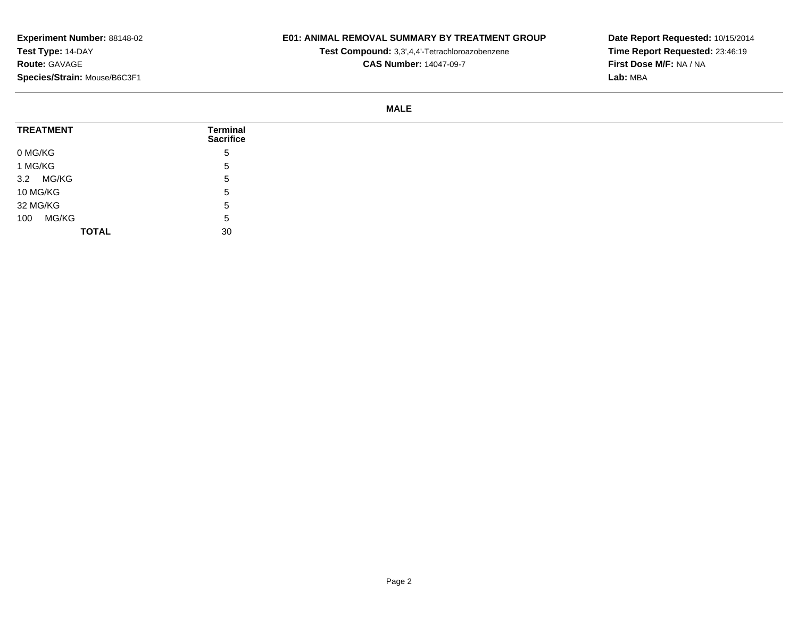## **E01: ANIMAL REMOVAL SUMMARY BY TREATMENT GROUP**

**Test Compound:** 3,3',4,4'-Tetrachloroazobenzene

**CAS Number:** 14047-09-7

**Date Report Requested:** 10/15/2014**Time Report Requested:** 23:46:19**First Dose M/F:** NA / NA**Lab:** MBA

#### **MALE**

| <b>TREATMENT</b> | <b>Terminal</b><br><b>Sacrifice</b> |
|------------------|-------------------------------------|
| 0 MG/KG          | 5                                   |
| 1 MG/KG          | 5                                   |
| 3.2 MG/KG        | 5                                   |
| 10 MG/KG         | -5                                  |
| 32 MG/KG         | -5                                  |
| MG/KG<br>100     | -5                                  |
| <b>TOTAL</b>     | 30                                  |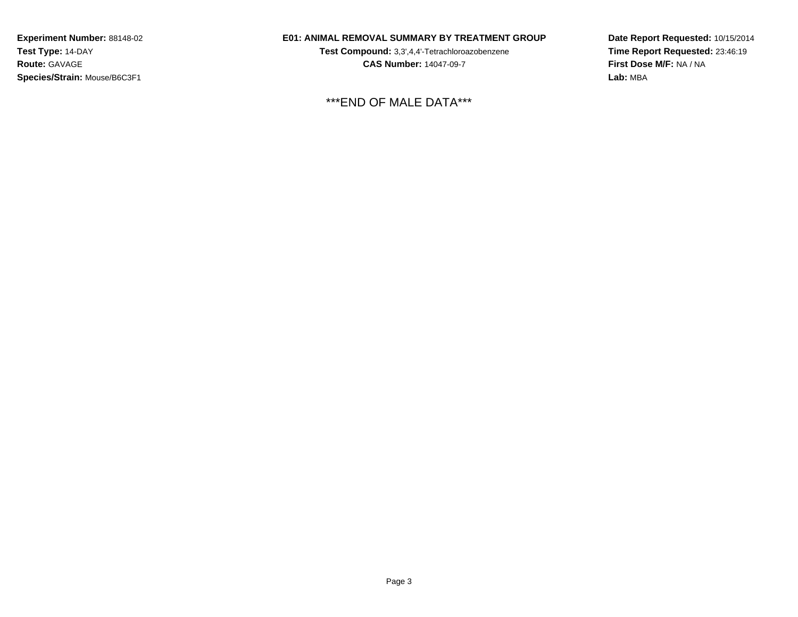## **E01: ANIMAL REMOVAL SUMMARY BY TREATMENT GROUP**

**Test Compound:** 3,3',4,4'-Tetrachloroazobenzene**CAS Number:** 14047-09-7

\*\*\*END OF MALE DATA\*\*\*

**Date Report Requested:** 10/15/2014**Time Report Requested:** 23:46:19**First Dose M/F:** NA / NA**Lab:** MBA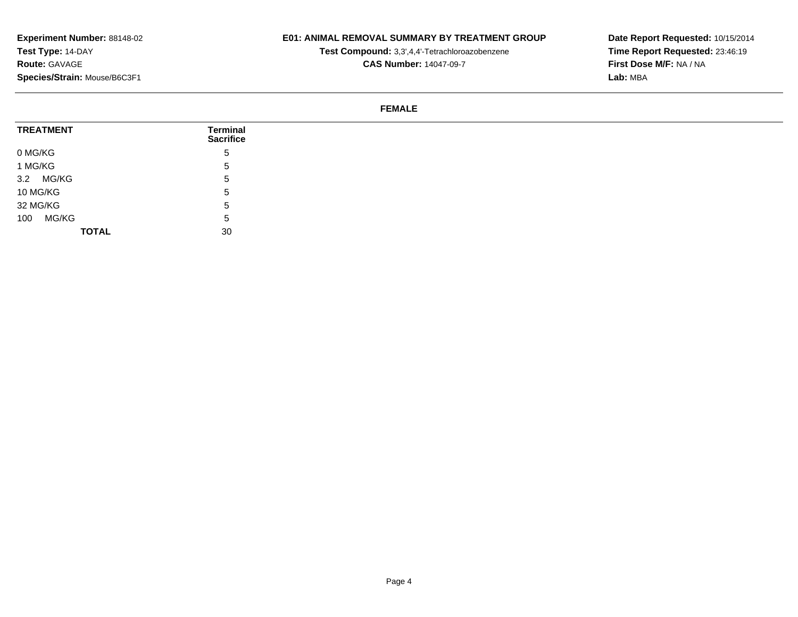## **E01: ANIMAL REMOVAL SUMMARY BY TREATMENT GROUP**

**Test Compound:** 3,3',4,4'-Tetrachloroazobenzene

**CAS Number:** 14047-09-7

**Date Report Requested:** 10/15/2014**Time Report Requested:** 23:46:19**First Dose M/F:** NA / NA**Lab:** MBA

#### **FEMALE**

| <b>TREATMENT</b> | <b>Terminal</b><br><b>Sacrifice</b> |
|------------------|-------------------------------------|
| 0 MG/KG          | 5                                   |
| 1 MG/KG          | $\mathbf{p}$                        |
| 3.2 MG/KG        | <sub>5</sub>                        |
| 10 MG/KG         | $\mathbf b$                         |
| 32 MG/KG         | 5                                   |
| MG/KG<br>100     | 5                                   |
| <b>TOTAL</b>     | 30                                  |